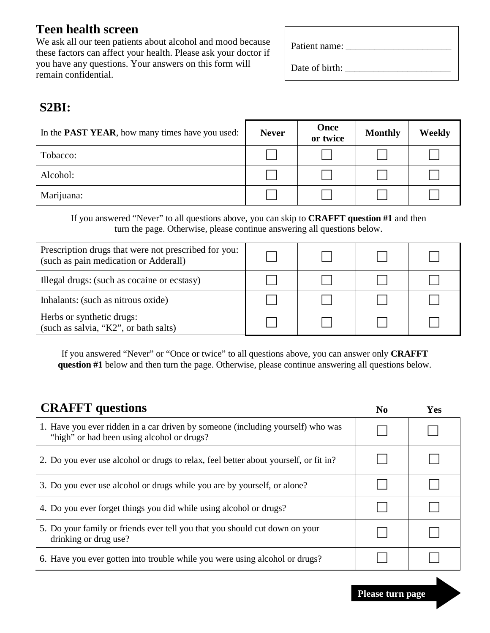# **Teen health screen**

We ask all our teen patients about alcohol and mood because these factors can affect your health. Please ask your doctor if you have any questions. Your answers on this form will remain confidential.

| Patient name: |  |
|---------------|--|
|---------------|--|

Date of birth:

## **S2BI:**

| In the <b>PAST YEAR</b> , how many times have you used: | <b>Never</b> | Once<br>or twice | <b>Monthly</b> | <b>Weekly</b> |
|---------------------------------------------------------|--------------|------------------|----------------|---------------|
| Tobacco:                                                |              |                  |                |               |
| Alcohol:                                                |              |                  |                |               |
| Marijuana:                                              |              |                  |                |               |

If you answered "Never" to all questions above, you can skip to **CRAFFT question #1** and then turn the page. Otherwise, please continue answering all questions below.

| Prescription drugs that were not prescribed for you:<br>(such as pain medication or Adderall) |  |  |
|-----------------------------------------------------------------------------------------------|--|--|
| Illegal drugs: (such as cocaine or ecstasy)                                                   |  |  |
| Inhalants: (such as nitrous oxide)                                                            |  |  |
| Herbs or synthetic drugs:<br>(such as salvia, "K2", or bath salts)                            |  |  |

If you answered "Never" or "Once or twice" to all questions above, you can answer only **CRAFFT question #1** below and then turn the page. Otherwise, please continue answering all questions below.

| <b>CRAFFT</b> questions                                                                                                       | $\bf No$ | Yes |
|-------------------------------------------------------------------------------------------------------------------------------|----------|-----|
| 1. Have you ever ridden in a car driven by someone (including yourself) who was<br>"high" or had been using alcohol or drugs? |          |     |
| 2. Do you ever use alcohol or drugs to relax, feel better about yourself, or fit in?                                          |          |     |
| 3. Do you ever use alcohol or drugs while you are by yourself, or alone?                                                      |          |     |
| 4. Do you ever forget things you did while using alcohol or drugs?                                                            |          |     |
| 5. Do your family or friends ever tell you that you should cut down on your<br>drinking or drug use?                          |          |     |
| 6. Have you ever gotten into trouble while you were using alcohol or drugs?                                                   |          |     |

**Please turn page**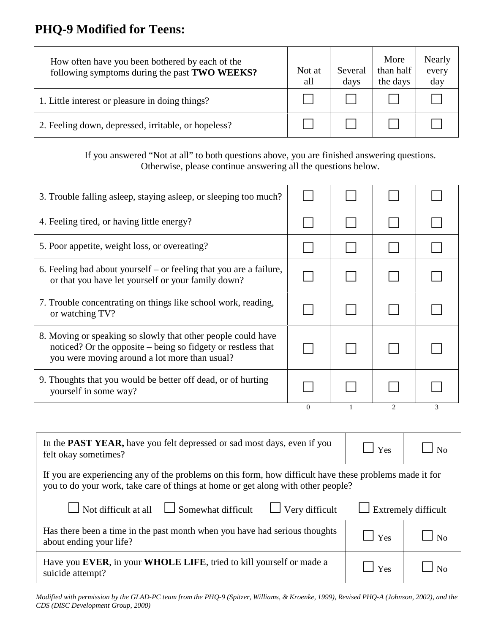# **PHQ-9 Modified for Teens:**

How often have you been bothered by each of the following symptoms during the past TWO WEEKS?

- 1. Little interest or pleasure in doing things?
- 2. Feeling down, depressed, irritable, or hopeless?

| Not at<br>all | Several<br>days | More<br>than half<br>the days | Nearly<br>every<br>day |
|---------------|-----------------|-------------------------------|------------------------|
|               |                 |                               |                        |
|               |                 |                               |                        |

If you answered "Not at all" to both questions above, you are finished answering questions. Otherwise, please continue answering all the questions below.

| 3. Trouble falling asleep, staying asleep, or sleeping too much?                                                                                                              |          |                               |   |
|-------------------------------------------------------------------------------------------------------------------------------------------------------------------------------|----------|-------------------------------|---|
| 4. Feeling tired, or having little energy?                                                                                                                                    |          |                               |   |
| 5. Poor appetite, weight loss, or overeating?                                                                                                                                 |          |                               |   |
| 6. Feeling bad about yourself $-$ or feeling that you are a failure,<br>or that you have let yourself or your family down?                                                    |          |                               |   |
| 7. Trouble concentrating on things like school work, reading,<br>or watching TV?                                                                                              |          |                               |   |
| 8. Moving or speaking so slowly that other people could have<br>noticed? Or the opposite – being so fidgety or restless that<br>you were moving around a lot more than usual? |          |                               |   |
| 9. Thoughts that you would be better off dead, or of hurting<br>yourself in some way?                                                                                         |          |                               |   |
|                                                                                                                                                                               | $\left($ | $\mathfrak{D}_{\mathfrak{p}}$ | 3 |

| In the <b>PAST YEAR</b> , have you felt depressed or sad most days, even if you<br>felt okay sometimes?                                                                                     | $\Box$ Yes  | N <sub>0</sub> |
|---------------------------------------------------------------------------------------------------------------------------------------------------------------------------------------------|-------------|----------------|
| If you are experiencing any of the problems on this form, how difficult have these problems made it for<br>you to do your work, take care of things at home or get along with other people? |             |                |
| $\Box$ Not difficult at all $\Box$ Somewhat difficult<br>$\Box$ Very difficult<br>$\Box$ Extremely difficult                                                                                |             |                |
| Has there been a time in the past month when you have had serious thoughts<br>about ending your life?                                                                                       | $\Box$ Yes  |                |
| Have you EVER, in your WHOLE LIFE, tried to kill yourself or made a<br>suicide attempt?                                                                                                     | $\vert$ Yes |                |

*Modified with permission by the GLAD-PC team from the PHQ-9 (Spitzer, Williams, & Kroenke, 1999), Revised PHQ-A (Johnson, 2002), and the CDS (DISC Development Group, 2000)*